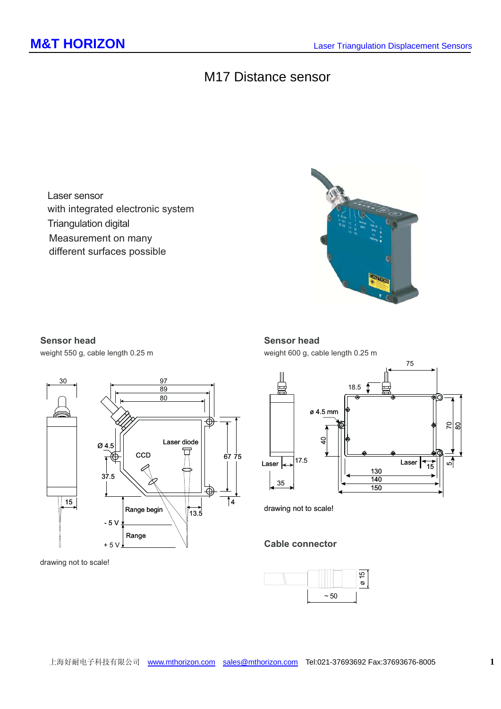## M17 Distance sensor

Laser sensor with integrated electronic system Triangulation digital Measurement on many different surfaces possible



## **Sensor head**

weight 550 g, cable length 0.25 m



drawing not to scale!

### **Sensor head**

weight 600 g, cable length 0.25 m



drawing not to scale!

## Cable connector